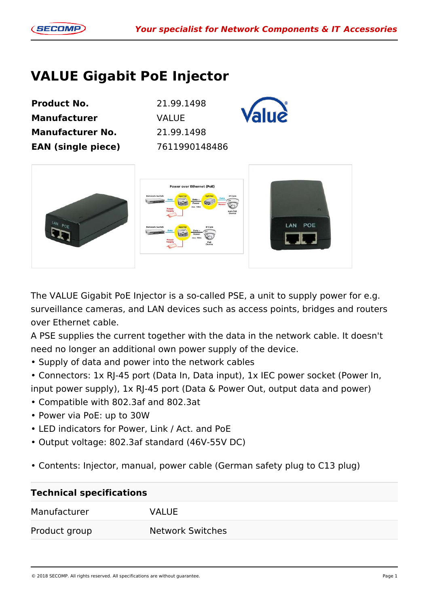## **VALUE Gigabit PoE Injector**

| <b>Product No.</b>        | 21.99.1498    |  |
|---------------------------|---------------|--|
| <b>Manufacturer</b>       | <b>VALUE</b>  |  |
| <b>Manufacturer No.</b>   | 21.99.1498    |  |
| <b>EAN (single piece)</b> | 7611990148486 |  |



The VALUE Gigabit PoE Injector is a so-called PSE, a unit to supply power for e.g. surveillance cameras, and LAN devices such as access points, bridges and routers over Ethernet cable.

A PSE supplies the current together with the data in the network cable. It doesn't need no longer an additional own power supply of the device.

• Supply of data and power into the network cables

• Connectors: 1x RJ-45 port (Data In, Data input), 1x IEC power socket (Power In, input power supply), 1x RJ-45 port (Data & Power Out, output data and power)

- Compatible with 802.3af and 802.3at
- Power via PoE: up to 30W
- LED indicators for Power, Link / Act. and PoE
- Output voltage: 802.3af standard (46V-55V DC)
- Contents: Injector, manual, power cable (German safety plug to C13 plug)

| <b>Technical specifications</b> |                         |  |
|---------------------------------|-------------------------|--|
| Manufacturer                    | <b>VALUE</b>            |  |
| Product group                   | <b>Network Switches</b> |  |